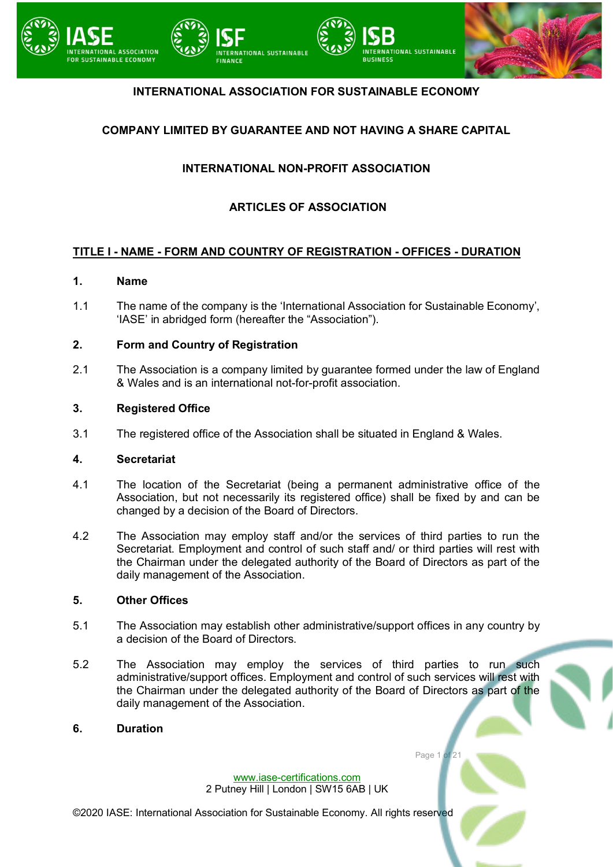

## **INTERNATIONAL ASSOCIATION FOR SUSTAINABLE ECONOMY**

## **COMPANY LIMITED BY GUARANTEE AND NOT HAVING A SHARE CAPITAL**

## **INTERNATIONAL NON-PROFIT ASSOCIATION**

## **ARTICLES OF ASSOCIATION**

## **TITLE I - NAME - FORM AND COUNTRY OF REGISTRATION - OFFICES - DURATION**

#### **1. Name**

1.1 The name of the company is the 'International Association for Sustainable Economy', 'IASE' in abridged form (hereafter the "Association").

### **2. Form and Country of Registration**

2.1 The Association is a company limited by guarantee formed under the law of England & Wales and is an international not-for-profit association.

#### **3. Registered Office**

3.1 The registered office of the Association shall be situated in England & Wales.

#### **4. Secretariat**

- 4.1 The location of the Secretariat (being a permanent administrative office of the Association, but not necessarily its registered office) shall be fixed by and can be changed by a decision of the Board of Directors.
- 4.2 The Association may employ staff and/or the services of third parties to run the Secretariat. Employment and control of such staff and/ or third parties will rest with the Chairman under the delegated authority of the Board of Directors as part of the daily management of the Association.

#### **5. Other Offices**

- 5.1 The Association may establish other administrative/support offices in any country by a decision of the Board of Directors.
- 5.2 The Association may employ the services of third parties to run such administrative/support offices. Employment and control of such services will rest with the Chairman under the delegated authority of the Board of Directors as part of the daily management of the Association.

#### **6. Duration**

[www.iase-certifications.com](http://www.iase-certifications.com/) 2 Putney Hill | London | SW15 6AB | UK Page 1 of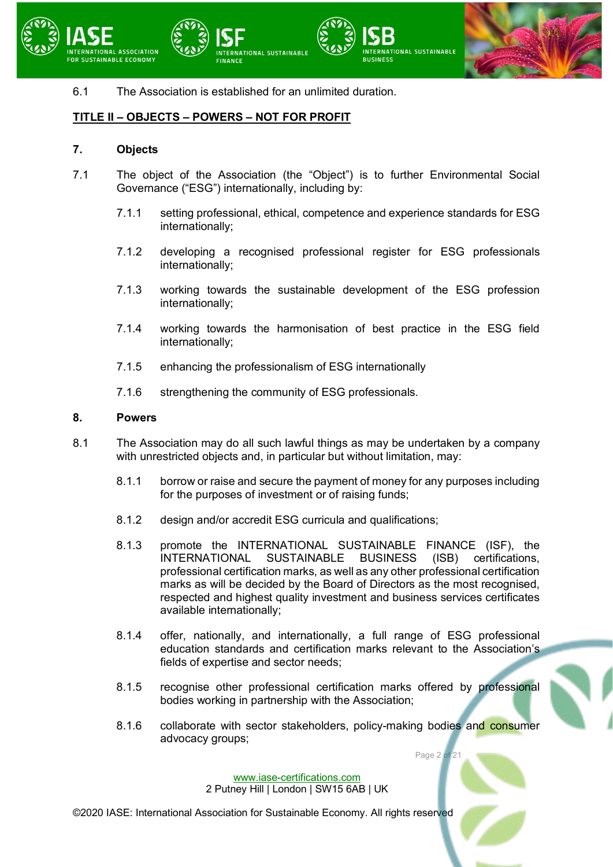



6.1 The Association is established for an unlimited duration.

**TIONAL SUSTAINABLE** 

## **TITLE II – OBJECTS – POWERS – NOT FOR PROFIT**

#### **7. Objects**

- 7.1 The object of the Association (the "Object") is to further Environmental Social Governance ("ESG") internationally, including by:
	- 7.1.1 setting professional, ethical, competence and experience standards for ESG internationally;

**RUSINESS** 

- 7.1.2 developing a recognised professional register for ESG professionals internationally;
- 7.1.3 working towards the sustainable development of the ESG profession internationally;
- 7.1.4 working towards the harmonisation of best practice in the ESG field internationally;
- 7.1.5 enhancing the professionalism of ESG internationally
- 7.1.6 strengthening the community of ESG professionals.

#### **8. Powers**

- 8.1 The Association may do all such lawful things as may be undertaken by a company with unrestricted objects and, in particular but without limitation, may:
	- 8.1.1 borrow or raise and secure the payment of money for any purposes including for the purposes of investment or of raising funds;
	- 8.1.2 design and/or accredit ESG curricula and qualifications;
	- 8.1.3 promote the INTERNATIONAL SUSTAINABLE FINANCE (ISF), the<br>INTERNATIONAL SUSTAINABLE BUSINESS (ISB) certifications, INTERNATIONAL SUSTAINABLE BUSINESS (ISB) certifications, professional certification marks, as well as any other professional certification marks as will be decided by the Board of Directors as the most recognised, respected and highest quality investment and business services certificates available internationally;
	- 8.1.4 offer, nationally, and internationally, a full range of ESG professional education standards and certification marks relevant to the Association's fields of expertise and sector needs;
	- 8.1.5 recognise other professional certification marks offered by professional bodies working in partnership with the Association;
	- 8.1.6 collaborate with sector stakeholders, policy-making bodies and consumer advocacy groups;

Page 2 of 21

[www.iase-certifications.com](http://www.iase-certifications.com/) 2 Putney Hill | London | SW15 6AB | UK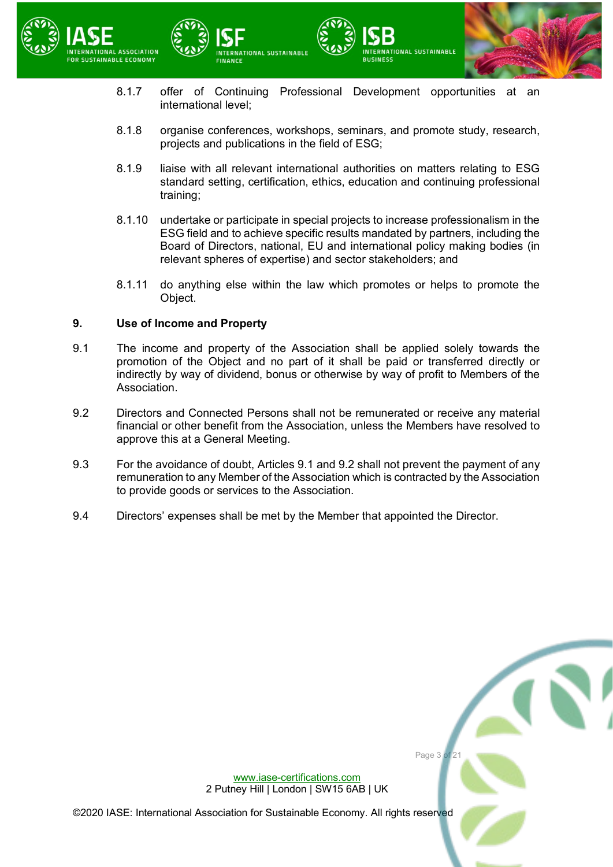



8.1.7 offer of Continuing Professional Development opportunities at an international level;

**RUSINESS** 

**VATIONAL SUSTAINABLE** 

- 8.1.8 organise conferences, workshops, seminars, and promote study, research, projects and publications in the field of ESG;
- 8.1.9 liaise with all relevant international authorities on matters relating to ESG standard setting, certification, ethics, education and continuing professional training;
- 8.1.10 undertake or participate in special projects to increase professionalism in the ESG field and to achieve specific results mandated by partners, including the Board of Directors, national, EU and international policy making bodies (in relevant spheres of expertise) and sector stakeholders; and
- 8.1.11 do anything else within the law which promotes or helps to promote the Object.

## **9. Use of Income and Property**

- <span id="page-2-0"></span>9.1 The income and property of the Association shall be applied solely towards the promotion of the Object and no part of it shall be paid or transferred directly or indirectly by way of dividend, bonus or otherwise by way of profit to Members of the Association.
- <span id="page-2-1"></span>9.2 Directors and Connected Persons shall not be remunerated or receive any material financial or other benefit from the Association, unless the Members have resolved to approve this at a General Meeting.
- 9.3 For the avoidance of doubt, Articles [9.1](#page-2-0) and [9.2](#page-2-1) shall not prevent the payment of any remuneration to any Member of the Association which is contracted by the Association to provide goods or services to the Association.
- 9.4 Directors' expenses shall be met by the Member that appointed the Director.



[www.iase-certifications.com](http://www.iase-certifications.com/) 2 Putney Hill | London | SW15 6AB | UK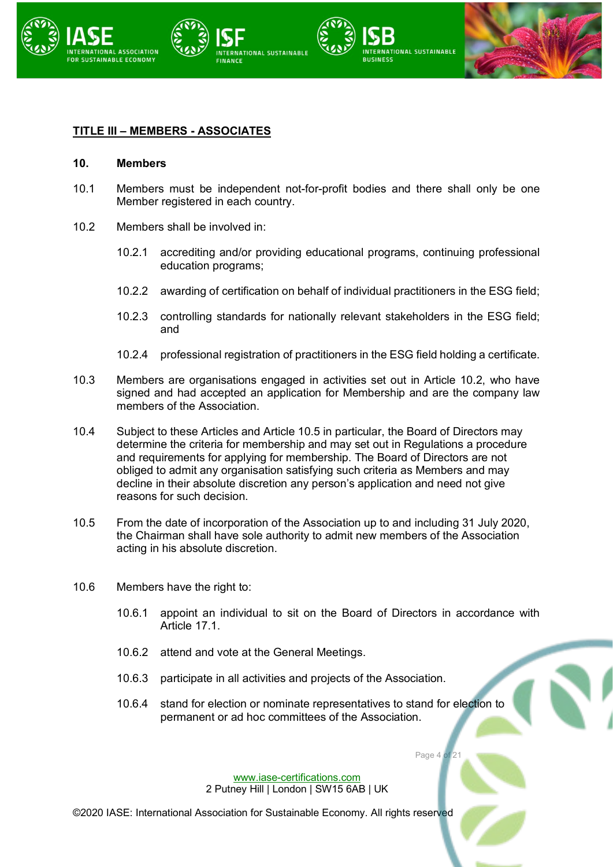

## **TITLE III – MEMBERS - ASSOCIATES**

#### **10. Members**

- 10.1 Members must be independent not-for-profit bodies and there shall only be one Member registered in each country.
- <span id="page-3-0"></span>10.2 Members shall be involved in:
	- 10.2.1 accrediting and/or providing educational programs, continuing professional education programs;
	- 10.2.2 awarding of certification on behalf of individual practitioners in the ESG field;
	- 10.2.3 controlling standards for nationally relevant stakeholders in the ESG field; and
	- 10.2.4 professional registration of practitioners in the ESG field holding a certificate.
- 10.3 Members are organisations engaged in activities set out in Article [10.2,](#page-3-0) who have signed and had accepted an application for Membership and are the company law members of the Association.
- 10.4 Subject to these Articles and Article [10.5](#page-3-1) in particular, the Board of Directors may determine the criteria for membership and may set out in Regulations a procedure and requirements for applying for membership. The Board of Directors are not obliged to admit any organisation satisfying such criteria as Members and may decline in their absolute discretion any person's application and need not give reasons for such decision.
- <span id="page-3-1"></span>10.5 From the date of incorporation of the Association up to and including 31 July 2020, the Chairman shall have sole authority to admit new members of the Association acting in his absolute discretion.
- 10.6 Members have the right to:
	- 10.6.1 appoint an individual to sit on the Board of Directors in accordance with Article [17.1.](#page-10-0)
	- 10.6.2 attend and vote at the General Meetings.
	- 10.6.3 participate in all activities and projects of the Association.
	- 10.6.4 stand for election or nominate representatives to stand for election to permanent or ad hoc committees of the Association.

Page 4 of

[www.iase-certifications.com](http://www.iase-certifications.com/) 2 Putney Hill | London | SW15 6AB | UK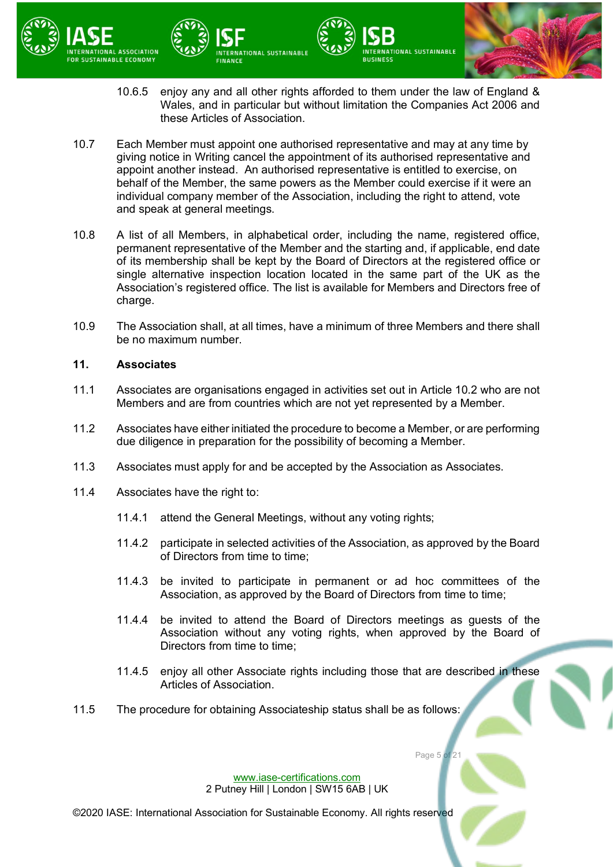

10.6.5 enjoy any and all other rights afforded to them under the law of England & Wales, and in particular but without limitation the Companies Act 2006 and these Articles of Association.

**NTERNATIONAL SUSTAINABLE** 

**RUSINESS** 

10.7 Each Member must appoint one authorised representative and may at any time by giving notice in Writing cancel the appointment of its authorised representative and appoint another instead. An authorised representative is entitled to exercise, on behalf of the Member, the same powers as the Member could exercise if it were an individual company member of the Association, including the right to attend, vote and speak at general meetings.

NTERNATIONAL SUSTAINABLE

- 10.8 A list of all Members, in alphabetical order, including the name, registered office, permanent representative of the Member and the starting and, if applicable, end date of its membership shall be kept by the Board of Directors at the registered office or single alternative inspection location located in the same part of the UK as the Association's registered office. The list is available for Members and Directors free of charge.
- 10.9 The Association shall, at all times, have a minimum of three Members and there shall be no maximum number.

#### **11. Associates**

- 11.1 Associates are organisations engaged in activities set out in Article [10.2](#page-3-0) who are not Members and are from countries which are not yet represented by a Member.
- 11.2 Associates have either initiated the procedure to become a Member, or are performing due diligence in preparation for the possibility of becoming a Member.
- 11.3 Associates must apply for and be accepted by the Association as Associates.
- 11.4 Associates have the right to:
	- 11.4.1 attend the General Meetings, without any voting rights;
	- 11.4.2 participate in selected activities of the Association, as approved by the Board of Directors from time to time;
	- 11.4.3 be invited to participate in permanent or ad hoc committees of the Association, as approved by the Board of Directors from time to time;
	- 11.4.4 be invited to attend the Board of Directors meetings as guests of the Association without any voting rights, when approved by the Board of Directors from time to time;
	- 11.4.5 enjoy all other Associate rights including those that are described in these Articles of Association.

Page 5 of

11.5 The procedure for obtaining Associateship status shall be as follows:

[www.iase-certifications.com](http://www.iase-certifications.com/) 2 Putney Hill | London | SW15 6AB | UK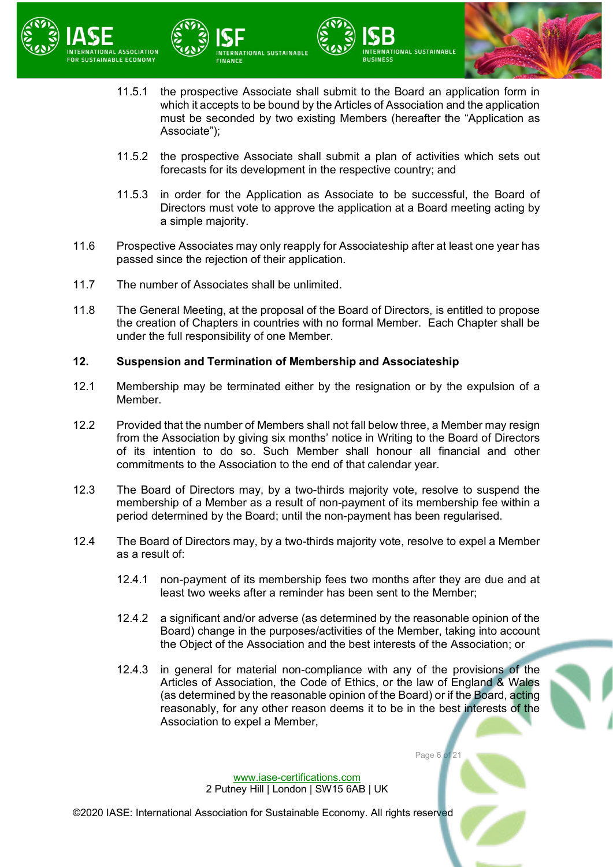



11.5.1 the prospective Associate shall submit to the Board an application form in which it accepts to be bound by the Articles of Association and the application must be seconded by two existing Members (hereafter the "Application as Associate");

**RUSINESS** 

- 11.5.2 the prospective Associate shall submit a plan of activities which sets out forecasts for its development in the respective country; and
- 11.5.3 in order for the Application as Associate to be successful, the Board of Directors must vote to approve the application at a Board meeting acting by a simple majority.
- 11.6 Prospective Associates may only reapply for Associateship after at least one year has passed since the rejection of their application.
- 11.7 The number of Associates shall be unlimited.
- 11.8 The General Meeting, at the proposal of the Board of Directors, is entitled to propose the creation of Chapters in countries with no formal Member. Each Chapter shall be under the full responsibility of one Member.

#### **12. Suspension and Termination of Membership and Associateship**

**ERNATIONAL SUSTAINABLE** 

- 12.1 Membership may be terminated either by the resignation or by the expulsion of a Member.
- 12.2 Provided that the number of Members shall not fall below three, a Member may resign from the Association by giving six months' notice in Writing to the Board of Directors of its intention to do so. Such Member shall honour all financial and other commitments to the Association to the end of that calendar year.
- 12.3 The Board of Directors may, by a two-thirds majority vote, resolve to suspend the membership of a Member as a result of non-payment of its membership fee within a period determined by the Board; until the non-payment has been regularised.
- 12.4 The Board of Directors may, by a two-thirds majority vote, resolve to expel a Member as a result of:
	- 12.4.1 non-payment of its membership fees two months after they are due and at least two weeks after a reminder has been sent to the Member;
	- 12.4.2 a significant and/or adverse (as determined by the reasonable opinion of the Board) change in the purposes/activities of the Member, taking into account the Object of the Association and the best interests of the Association; or
	- 12.4.3 in general for material non-compliance with any of the provisions of the Articles of Association, the Code of Ethics, or the law of England & Wales (as determined by the reasonable opinion of the Board) or if the Board, acting reasonably, for any other reason deems it to be in the best interests of the Association to expel a Member,

Page 6 of 21

[www.iase-certifications.com](http://www.iase-certifications.com/) 2 Putney Hill | London | SW15 6AB | UK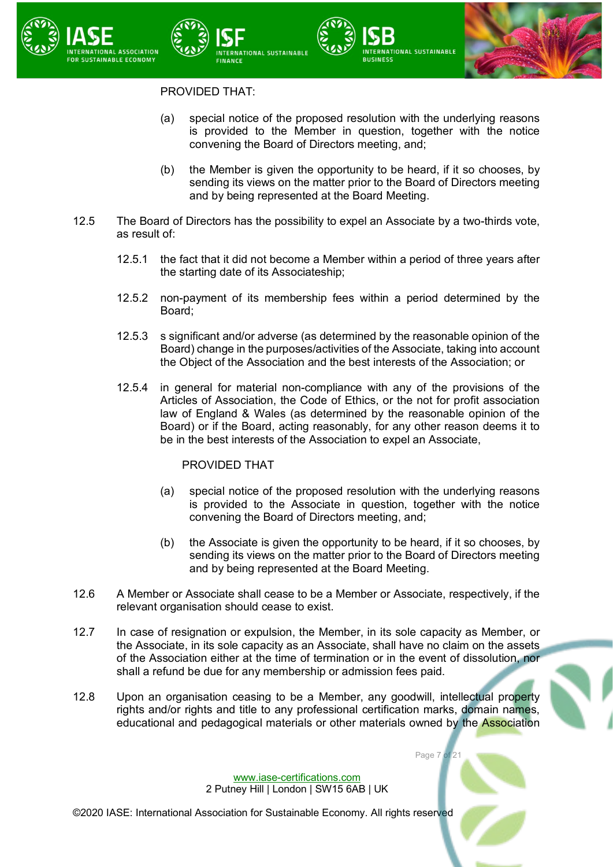

## PROVIDED THAT:

NATIONAL SUSTAINABLE

(a) special notice of the proposed resolution with the underlying reasons is provided to the Member in question, together with the notice convening the Board of Directors meeting, and;

**RUSINESS** 

- (b) the Member is given the opportunity to be heard, if it so chooses, by sending its views on the matter prior to the Board of Directors meeting and by being represented at the Board Meeting.
- 12.5 The Board of Directors has the possibility to expel an Associate by a two-thirds vote, as result of:
	- 12.5.1 the fact that it did not become a Member within a period of three years after the starting date of its Associateship;
	- 12.5.2 non-payment of its membership fees within a period determined by the Board;
	- 12.5.3 s significant and/or adverse (as determined by the reasonable opinion of the Board) change in the purposes/activities of the Associate, taking into account the Object of the Association and the best interests of the Association; or
	- 12.5.4 in general for material non-compliance with any of the provisions of the Articles of Association, the Code of Ethics, or the not for profit association law of England & Wales (as determined by the reasonable opinion of the Board) or if the Board, acting reasonably, for any other reason deems it to be in the best interests of the Association to expel an Associate,

## PROVIDED THAT

- (a) special notice of the proposed resolution with the underlying reasons is provided to the Associate in question, together with the notice convening the Board of Directors meeting, and;
- (b) the Associate is given the opportunity to be heard, if it so chooses, by sending its views on the matter prior to the Board of Directors meeting and by being represented at the Board Meeting.

Page 7 of 21

- 12.6 A Member or Associate shall cease to be a Member or Associate, respectively, if the relevant organisation should cease to exist.
- 12.7 In case of resignation or expulsion, the Member, in its sole capacity as Member, or the Associate, in its sole capacity as an Associate, shall have no claim on the assets of the Association either at the time of termination or in the event of dissolution, nor shall a refund be due for any membership or admission fees paid.
- 12.8 Upon an organisation ceasing to be a Member, any goodwill, intellectual property rights and/or rights and title to any professional certification marks, domain names, educational and pedagogical materials or other materials owned by the Association

[www.iase-certifications.com](http://www.iase-certifications.com/) 2 Putney Hill | London | SW15 6AB | UK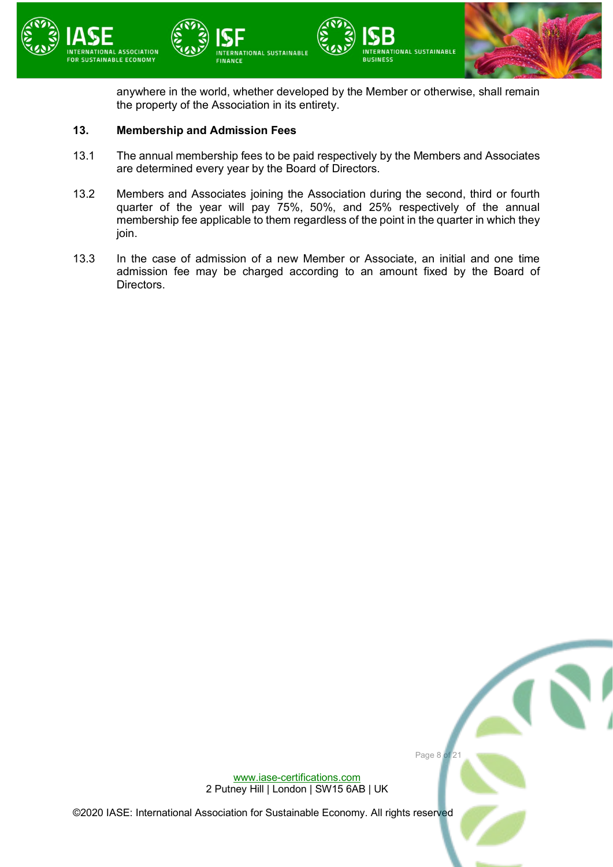

anywhere in the world, whether developed by the Member or otherwise, shall remain the property of the Association in its entirety.

#### **13. Membership and Admission Fees**

- 13.1 The annual membership fees to be paid respectively by the Members and Associates are determined every year by the Board of Directors.
- 13.2 Members and Associates joining the Association during the second, third or fourth quarter of the year will pay 75%, 50%, and 25% respectively of the annual membership fee applicable to them regardless of the point in the quarter in which they join.
- 13.3 In the case of admission of a new Member or Associate, an initial and one time admission fee may be charged according to an amount fixed by the Board of Directors.

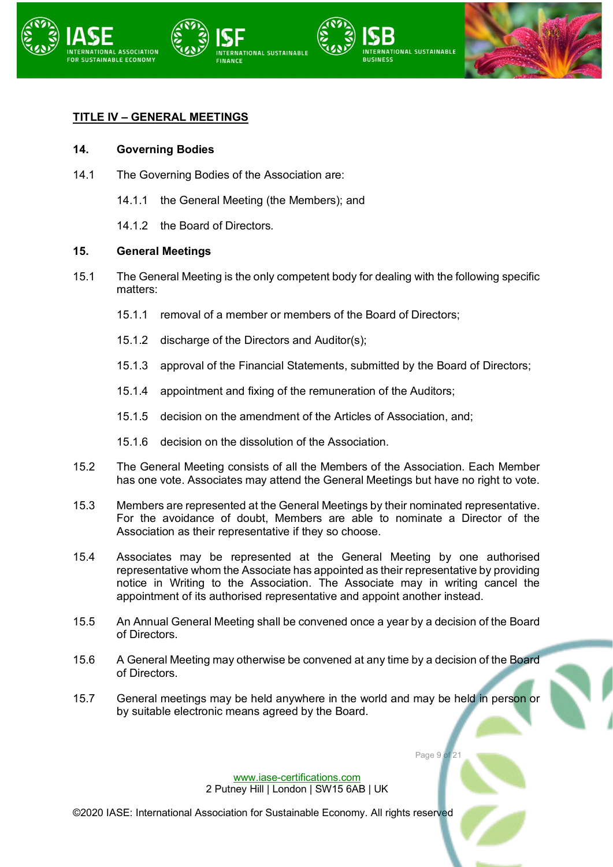

## **TITLE IV – GENERAL MEETINGS**

#### **14. Governing Bodies**

- 14.1 The Governing Bodies of the Association are:
	- 14.1.1 the General Meeting (the Members); and
	- 14.1.2 the Board of Directors.

#### **15. General Meetings**

- 15.1 The General Meeting is the only competent body for dealing with the following specific matters:
	- 15.1.1 removal of a member or members of the Board of Directors;
	- 15.1.2 discharge of the Directors and Auditor(s);
	- 15.1.3 approval of the Financial Statements, submitted by the Board of Directors;
	- 15.1.4 appointment and fixing of the remuneration of the Auditors;
	- 15.1.5 decision on the amendment of the Articles of Association, and;
	- 15.1.6 decision on the dissolution of the Association.
- 15.2 The General Meeting consists of all the Members of the Association. Each Member has one vote. Associates may attend the General Meetings but have no right to vote.
- 15.3 Members are represented at the General Meetings by their nominated representative. For the avoidance of doubt, Members are able to nominate a Director of the Association as their representative if they so choose.
- 15.4 Associates may be represented at the General Meeting by one authorised representative whom the Associate has appointed as their representative by providing notice in Writing to the Association. The Associate may in writing cancel the appointment of its authorised representative and appoint another instead.
- 15.5 An Annual General Meeting shall be convened once a year by a decision of the Board of Directors.
- 15.6 A General Meeting may otherwise be convened at any time by a decision of the Board of Directors.
- 15.7 General meetings may be held anywhere in the world and may be held in person or by suitable electronic means agreed by the Board.

Page 9 of

[www.iase-certifications.com](http://www.iase-certifications.com/) 2 Putney Hill | London | SW15 6AB | UK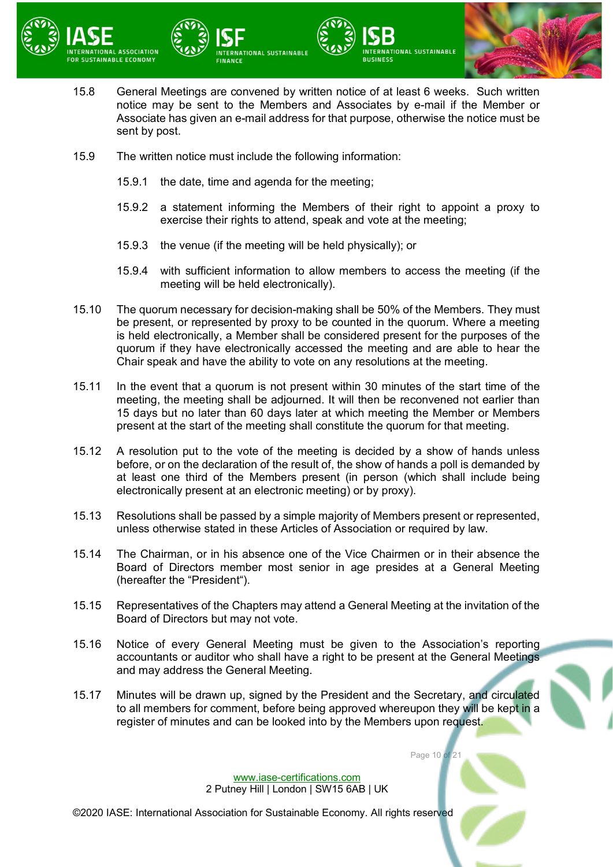



- 15.8 General Meetings are convened by written notice of at least 6 weeks. Such written notice may be sent to the Members and Associates by e-mail if the Member or Associate has given an e-mail address for that purpose, otherwise the notice must be sent by post.
- 15.9 The written notice must include the following information:
	- 15.9.1 the date, time and agenda for the meeting;
	- 15.9.2 a statement informing the Members of their right to appoint a proxy to exercise their rights to attend, speak and vote at the meeting;

**RUSINESS** 

15.9.3 the venue (if the meeting will be held physically); or

**ERNATIONAL SUSTAINABLE** 

- 15.9.4 with sufficient information to allow members to access the meeting (if the meeting will be held electronically).
- 15.10 The quorum necessary for decision-making shall be 50% of the Members. They must be present, or represented by proxy to be counted in the quorum. Where a meeting is held electronically, a Member shall be considered present for the purposes of the quorum if they have electronically accessed the meeting and are able to hear the Chair speak and have the ability to vote on any resolutions at the meeting.
- 15.11 In the event that a quorum is not present within 30 minutes of the start time of the meeting, the meeting shall be adjourned. It will then be reconvened not earlier than 15 days but no later than 60 days later at which meeting the Member or Members present at the start of the meeting shall constitute the quorum for that meeting.
- 15.12 A resolution put to the vote of the meeting is decided by a show of hands unless before, or on the declaration of the result of, the show of hands a poll is demanded by at least one third of the Members present (in person (which shall include being electronically present at an electronic meeting) or by proxy).
- 15.13 Resolutions shall be passed by a simple majority of Members present or represented, unless otherwise stated in these Articles of Association or required by law.
- 15.14 The Chairman, or in his absence one of the Vice Chairmen or in their absence the Board of Directors member most senior in age presides at a General Meeting (hereafter the "President").
- 15.15 Representatives of the Chapters may attend a General Meeting at the invitation of the Board of Directors but may not vote.
- 15.16 Notice of every General Meeting must be given to the Association's reporting accountants or auditor who shall have a right to be present at the General Meetings and may address the General Meeting.
- 15.17 Minutes will be drawn up, signed by the President and the Secretary, and circulated to all members for comment, before being approved whereupon they will be kept in a register of minutes and can be looked into by the Members upon request.

Page 10 of 21

[www.iase-certifications.com](http://www.iase-certifications.com/) 2 Putney Hill | London | SW15 6AB | UK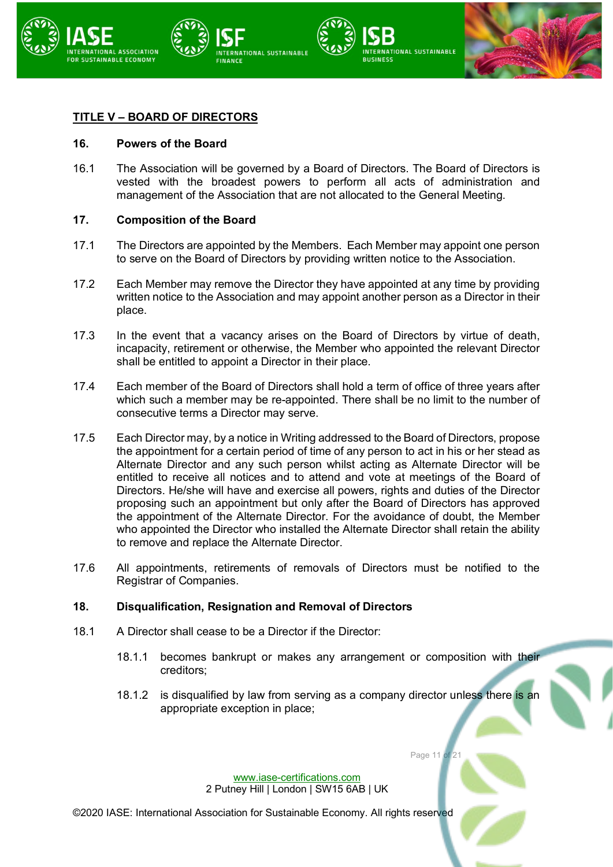

## **TITLE V – BOARD OF DIRECTORS**

#### **16. Powers of the Board**

16.1 The Association will be governed by a Board of Directors. The Board of Directors is vested with the broadest powers to perform all acts of administration and management of the Association that are not allocated to the General Meeting.

#### **17. Composition of the Board**

- <span id="page-10-0"></span>17.1 The Directors are appointed by the Members. Each Member may appoint one person to serve on the Board of Directors by providing written notice to the Association.
- 17.2 Each Member may remove the Director they have appointed at any time by providing written notice to the Association and may appoint another person as a Director in their place.
- 17.3 In the event that a vacancy arises on the Board of Directors by virtue of death, incapacity, retirement or otherwise, the Member who appointed the relevant Director shall be entitled to appoint a Director in their place.
- 17.4 Each member of the Board of Directors shall hold a term of office of three years after which such a member may be re-appointed. There shall be no limit to the number of consecutive terms a Director may serve.
- 17.5 Each Director may, by a notice in Writing addressed to the Board of Directors, propose the appointment for a certain period of time of any person to act in his or her stead as Alternate Director and any such person whilst acting as Alternate Director will be entitled to receive all notices and to attend and vote at meetings of the Board of Directors. He/she will have and exercise all powers, rights and duties of the Director proposing such an appointment but only after the Board of Directors has approved the appointment of the Alternate Director. For the avoidance of doubt, the Member who appointed the Director who installed the Alternate Director shall retain the ability to remove and replace the Alternate Director.
- 17.6 All appointments, retirements of removals of Directors must be notified to the Registrar of Companies.

#### **18. Disqualification, Resignation and Removal of Directors**

- 18.1 A Director shall cease to be a Director if the Director:
	- 18.1.1 becomes bankrupt or makes any arrangement or composition with their creditors;
	- 18.1.2 is disqualified by law from serving as a company director unless there is an appropriate exception in place;

Page 11 of

[www.iase-certifications.com](http://www.iase-certifications.com/) 2 Putney Hill | London | SW15 6AB | UK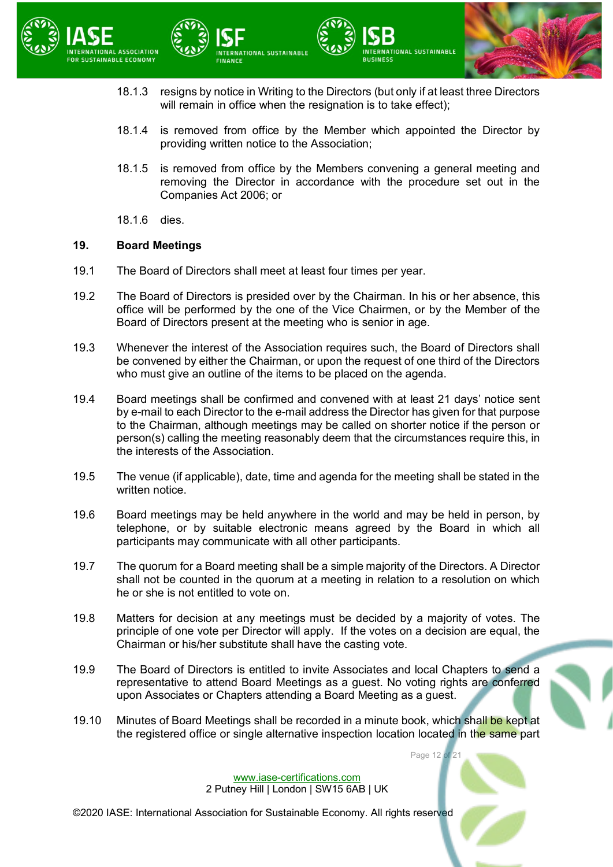



ERNATIONAL SUSTAINABLE

**RUSINESS** 

- 18.1.4 is removed from office by the Member which appointed the Director by providing written notice to the Association;
- 18.1.5 is removed from office by the Members convening a general meeting and removing the Director in accordance with the procedure set out in the Companies Act 2006; or
- 18.1.6 dies.

#### **19. Board Meetings**

19.1 The Board of Directors shall meet at least four times per year.

**RNATIONAL SUSTAINABLE** 

- 19.2 The Board of Directors is presided over by the Chairman. In his or her absence, this office will be performed by the one of the Vice Chairmen, or by the Member of the Board of Directors present at the meeting who is senior in age.
- 19.3 Whenever the interest of the Association requires such, the Board of Directors shall be convened by either the Chairman, or upon the request of one third of the Directors who must give an outline of the items to be placed on the agenda.
- 19.4 Board meetings shall be confirmed and convened with at least 21 days' notice sent by e-mail to each Director to the e-mail address the Director has given for that purpose to the Chairman, although meetings may be called on shorter notice if the person or person(s) calling the meeting reasonably deem that the circumstances require this, in the interests of the Association.
- 19.5 The venue (if applicable), date, time and agenda for the meeting shall be stated in the written notice.
- 19.6 Board meetings may be held anywhere in the world and may be held in person, by telephone, or by suitable electronic means agreed by the Board in which all participants may communicate with all other participants.
- 19.7 The quorum for a Board meeting shall be a simple majority of the Directors. A Director shall not be counted in the quorum at a meeting in relation to a resolution on which he or she is not entitled to vote on.
- 19.8 Matters for decision at any meetings must be decided by a majority of votes. The principle of one vote per Director will apply. If the votes on a decision are equal, the Chairman or his/her substitute shall have the casting vote.
- 19.9 The Board of Directors is entitled to invite Associates and local Chapters to send a representative to attend Board Meetings as a guest. No voting rights are conferred upon Associates or Chapters attending a Board Meeting as a guest.
- 19.10 Minutes of Board Meetings shall be recorded in a minute book, which shall be kept at the registered office or single alternative inspection location located in the same part

Page 12 of

[www.iase-certifications.com](http://www.iase-certifications.com/) 2 Putney Hill | London | SW15 6AB | UK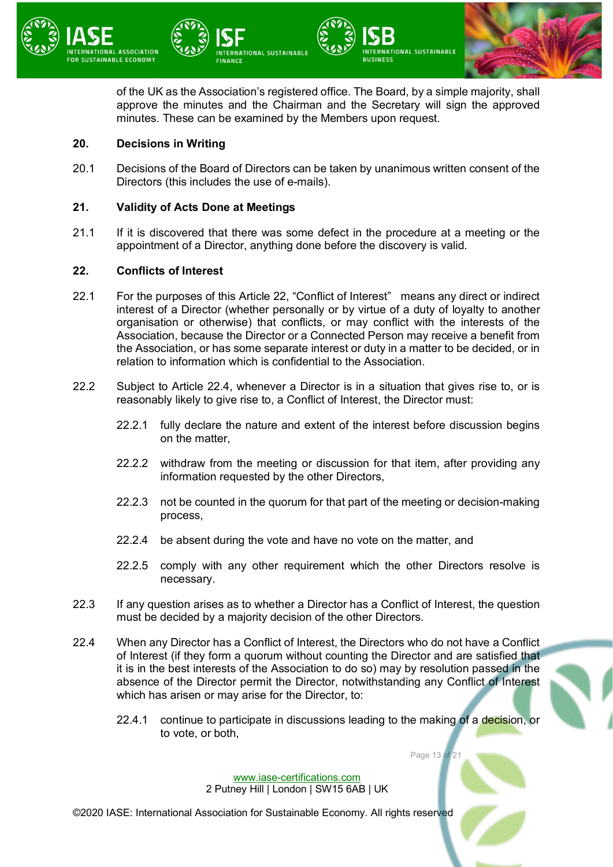

of the UK as the Association's registered office. The Board, by a simple majority, shall approve the minutes and the Chairman and the Secretary will sign the approved minutes. These can be examined by the Members upon request.

## **20. Decisions in Writing**

20.1 Decisions of the Board of Directors can be taken by unanimous written consent of the Directors (this includes the use of e-mails).

## **21. Validity of Acts Done at Meetings**

21.1 If it is discovered that there was some defect in the procedure at a meeting or the appointment of a Director, anything done before the discovery is valid.

#### <span id="page-12-0"></span>**22. Conflicts of Interest**

- 22.1 For the purposes of this Article [22,](#page-12-0) "Conflict of Interest" means any direct or indirect interest of a Director (whether personally or by virtue of a duty of loyalty to another organisation or otherwise) that conflicts, or may conflict with the interests of the Association, because the Director or a Connected Person may receive a benefit from the Association, or has some separate interest or duty in a matter to be decided, or in relation to information which is confidential to the Association.
- 22.2 Subject to Article [22.4,](#page-12-1) whenever a Director is in a situation that gives rise to, or is reasonably likely to give rise to, a Conflict of Interest, the Director must:
	- 22.2.1 fully declare the nature and extent of the interest before discussion begins on the matter,
	- 22.2.2 withdraw from the meeting or discussion for that item, after providing any information requested by the other Directors,
	- 22.2.3 not be counted in the quorum for that part of the meeting or decision-making process,
	- 22.2.4 be absent during the vote and have no vote on the matter, and
	- 22.2.5 comply with any other requirement which the other Directors resolve is necessary.
- 22.3 If any question arises as to whether a Director has a Conflict of Interest, the question must be decided by a majority decision of the other Directors.
- <span id="page-12-1"></span>22.4 When any Director has a Conflict of Interest, the Directors who do not have a Conflict of Interest (if they form a quorum without counting the Director and are satisfied that it is in the best interests of the Association to do so) may by resolution passed in the absence of the Director permit the Director, notwithstanding any Conflict of Interest which has arisen or may arise for the Director, to:
	- 22.4.1 continue to participate in discussions leading to the making of a decision, or to vote, or both,

Page 13 of 21

[www.iase-certifications.com](http://www.iase-certifications.com/) 2 Putney Hill | London | SW15 6AB | UK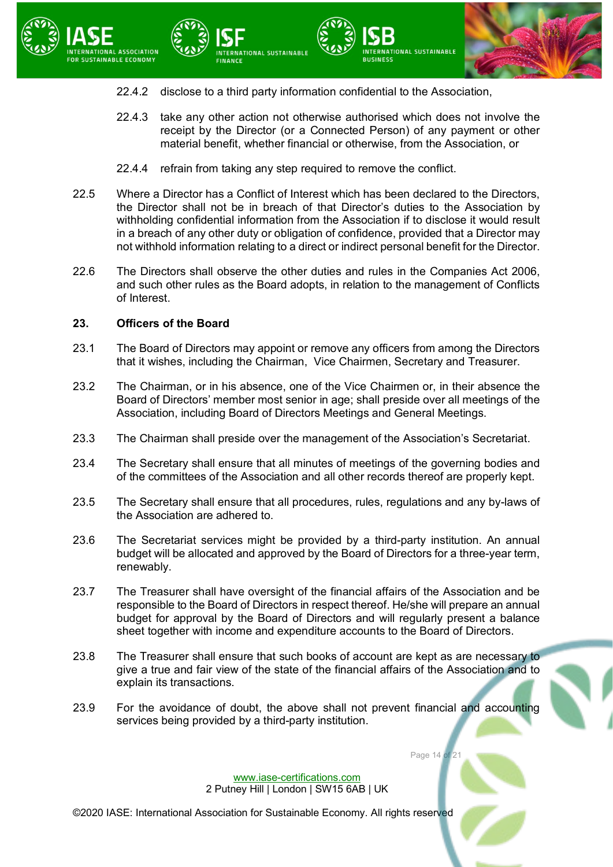



- 22.4.2 disclose to a third party information confidential to the Association,
- 22.4.3 take any other action not otherwise authorised which does not involve the receipt by the Director (or a Connected Person) of any payment or other material benefit, whether financial or otherwise, from the Association, or

**RUSINESS** 

22.4.4 refrain from taking any step required to remove the conflict.

NATIONAL SUSTAINABLE

- 22.5 Where a Director has a Conflict of Interest which has been declared to the Directors, the Director shall not be in breach of that Director's duties to the Association by withholding confidential information from the Association if to disclose it would result in a breach of any other duty or obligation of confidence, provided that a Director may not withhold information relating to a direct or indirect personal benefit for the Director.
- 22.6 The Directors shall observe the other duties and rules in the Companies Act 2006, and such other rules as the Board adopts, in relation to the management of Conflicts of Interest.

### **23. Officers of the Board**

- 23.1 The Board of Directors may appoint or remove any officers from among the Directors that it wishes, including the Chairman, Vice Chairmen, Secretary and Treasurer.
- 23.2 The Chairman, or in his absence, one of the Vice Chairmen or, in their absence the Board of Directors' member most senior in age; shall preside over all meetings of the Association, including Board of Directors Meetings and General Meetings.
- 23.3 The Chairman shall preside over the management of the Association's Secretariat.
- 23.4 The Secretary shall ensure that all minutes of meetings of the governing bodies and of the committees of the Association and all other records thereof are properly kept.
- 23.5 The Secretary shall ensure that all procedures, rules, regulations and any by-laws of the Association are adhered to.
- 23.6 The Secretariat services might be provided by a third-party institution. An annual budget will be allocated and approved by the Board of Directors for a three-year term, renewably.
- 23.7 The Treasurer shall have oversight of the financial affairs of the Association and be responsible to the Board of Directors in respect thereof. He/she will prepare an annual budget for approval by the Board of Directors and will regularly present a balance sheet together with income and expenditure accounts to the Board of Directors.
- 23.8 The Treasurer shall ensure that such books of account are kept as are necessary to give a true and fair view of the state of the financial affairs of the Association and to explain its transactions.
- 23.9 For the avoidance of doubt, the above shall not prevent financial and accounting services being provided by a third-party institution.

Page 14 of

[www.iase-certifications.com](http://www.iase-certifications.com/) 2 Putney Hill | London | SW15 6AB | UK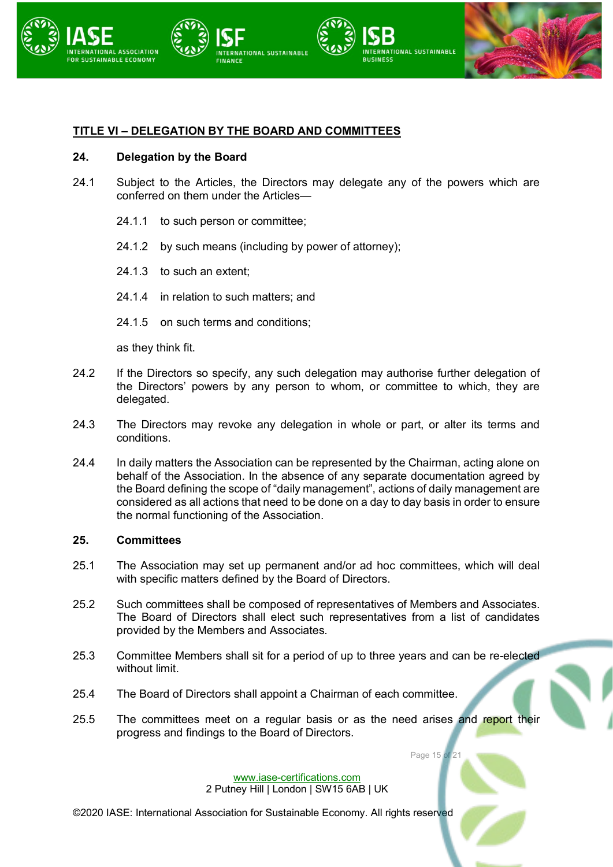

## **TITLE VI – DELEGATION BY THE BOARD AND COMMITTEES**

### **24. Delegation by the Board**

- 24.1 Subject to the Articles, the Directors may delegate any of the powers which are conferred on them under the Articles—
	- 24.1.1 to such person or committee:
	- 24.1.2 by such means (including by power of attorney);
	- 24.1.3 to such an extent;
	- 24.1.4 in relation to such matters; and
	- 24.1.5 on such terms and conditions;

as they think fit.

- 24.2 If the Directors so specify, any such delegation may authorise further delegation of the Directors' powers by any person to whom, or committee to which, they are delegated.
- 24.3 The Directors may revoke any delegation in whole or part, or alter its terms and conditions.
- 24.4 In daily matters the Association can be represented by the Chairman, acting alone on behalf of the Association. In the absence of any separate documentation agreed by the Board defining the scope of "daily management", actions of daily management are considered as all actions that need to be done on a day to day basis in order to ensure the normal functioning of the Association.

#### **25. Committees**

- 25.1 The Association may set up permanent and/or ad hoc committees, which will deal with specific matters defined by the Board of Directors.
- 25.2 Such committees shall be composed of representatives of Members and Associates. The Board of Directors shall elect such representatives from a list of candidates provided by the Members and Associates.
- 25.3 Committee Members shall sit for a period of up to three years and can be re-elected without limit.
- 25.4 The Board of Directors shall appoint a Chairman of each committee.
- 25.5 The committees meet on a regular basis or as the need arises and report their progress and findings to the Board of Directors.

Page 15 of 21

[www.iase-certifications.com](http://www.iase-certifications.com/) 2 Putney Hill | London | SW15 6AB | UK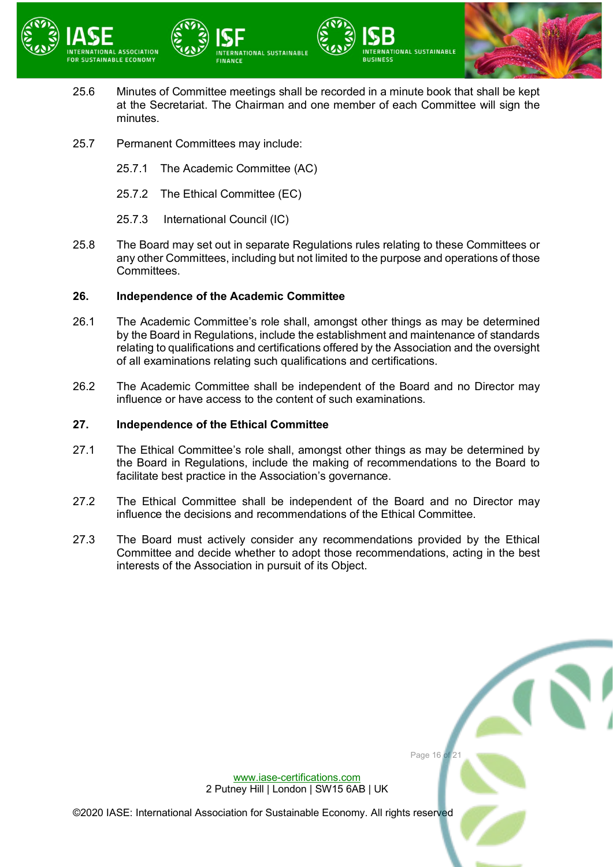



25.6 Minutes of Committee meetings shall be recorded in a minute book that shall be kept at the Secretariat. The Chairman and one member of each Committee will sign the minutes.

**RUSINESS** 

**TIONAL SUSTAINABLE** 

- 25.7 Permanent Committees may include:
	- 25.7.1 The Academic Committee (AC)
	- 25.7.2 The Ethical Committee (EC)
	- 25.7.3 International Council (IC)
- 25.8 The Board may set out in separate Regulations rules relating to these Committees or any other Committees, including but not limited to the purpose and operations of those Committees.

## **26. Independence of the Academic Committee**

- 26.1 The Academic Committee's role shall, amongst other things as may be determined by the Board in Regulations, include the establishment and maintenance of standards relating to qualifications and certifications offered by the Association and the oversight of all examinations relating such qualifications and certifications.
- 26.2 The Academic Committee shall be independent of the Board and no Director may influence or have access to the content of such examinations.

### **27. Independence of the Ethical Committee**

- 27.1 The Ethical Committee's role shall, amongst other things as may be determined by the Board in Regulations, include the making of recommendations to the Board to facilitate best practice in the Association's governance.
- 27.2 The Ethical Committee shall be independent of the Board and no Director may influence the decisions and recommendations of the Ethical Committee.
- 27.3 The Board must actively consider any recommendations provided by the Ethical Committee and decide whether to adopt those recommendations, acting in the best interests of the Association in pursuit of its Object.

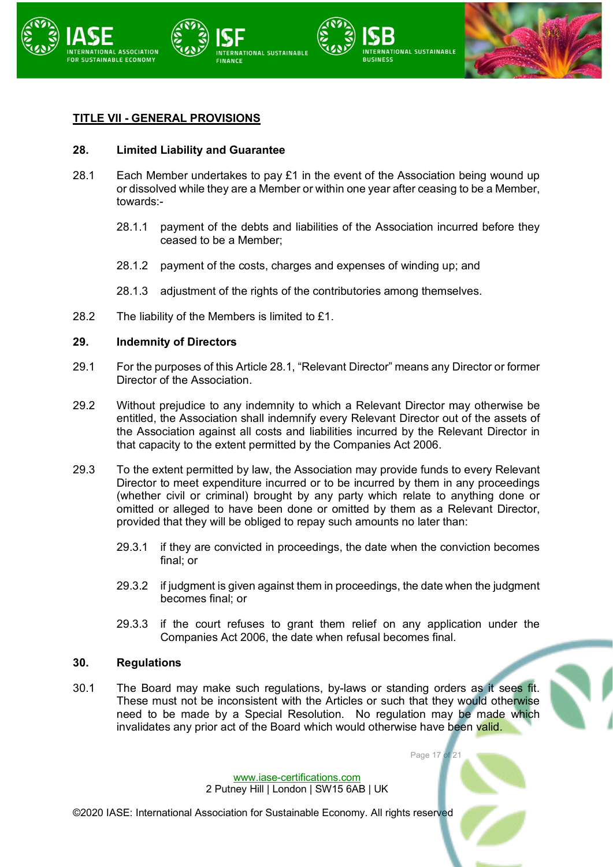

## **TITLE VII - GENERAL PROVISIONS**

#### **28. Limited Liability and Guarantee**

- 28.1 Each Member undertakes to pay £1 in the event of the Association being wound up or dissolved while they are a Member or within one year after ceasing to be a Member, towards:-
	- 28.1.1 payment of the debts and liabilities of the Association incurred before they ceased to be a Member;
	- 28.1.2 payment of the costs, charges and expenses of winding up; and
	- 28.1.3 adjustment of the rights of the contributories among themselves.
- 28.2 The liability of the Members is limited to £1.

#### **29. Indemnity of Directors**

- <span id="page-16-0"></span>29.1 For the purposes of this Article [28.1,](#page-16-0) "Relevant Director" means any Director or former Director of the Association.
- 29.2 Without prejudice to any indemnity to which a Relevant Director may otherwise be entitled, the Association shall indemnify every Relevant Director out of the assets of the Association against all costs and liabilities incurred by the Relevant Director in that capacity to the extent permitted by the Companies Act 2006.
- 29.3 To the extent permitted by law, the Association may provide funds to every Relevant Director to meet expenditure incurred or to be incurred by them in any proceedings (whether civil or criminal) brought by any party which relate to anything done or omitted or alleged to have been done or omitted by them as a Relevant Director, provided that they will be obliged to repay such amounts no later than:
	- 29.3.1 if they are convicted in proceedings, the date when the conviction becomes final; or
	- 29.3.2 if judgment is given against them in proceedings, the date when the judgment becomes final; or
	- 29.3.3 if the court refuses to grant them relief on any application under the Companies Act 2006, the date when refusal becomes final.

Page 17 of 21

#### **30. Regulations**

30.1 The Board may make such regulations, by-laws or standing orders as it sees fit. These must not be inconsistent with the Articles or such that they would otherwise need to be made by a Special Resolution. No regulation may be made which invalidates any prior act of the Board which would otherwise have been valid.

> [www.iase-certifications.com](http://www.iase-certifications.com/) 2 Putney Hill | London | SW15 6AB | UK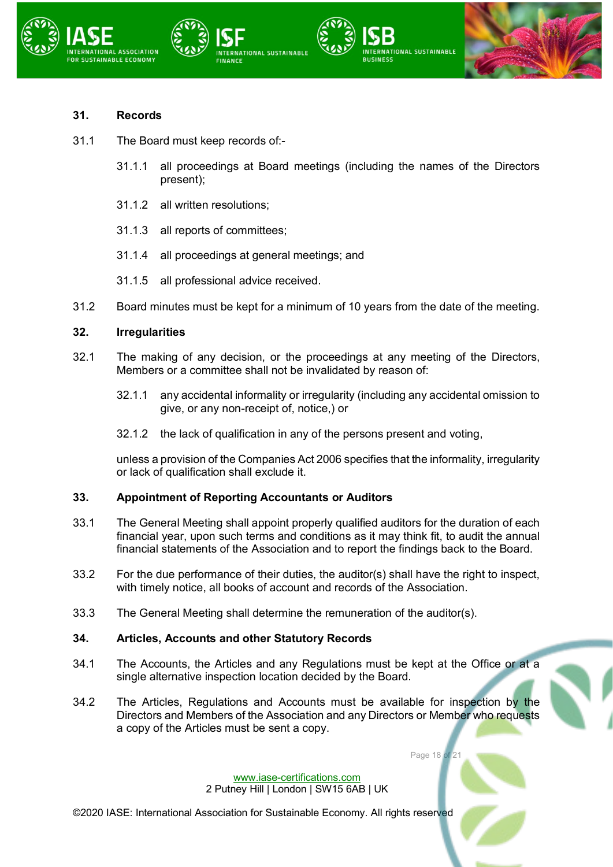





## **31. Records**

- 31.1 The Board must keep records of:-
	- 31.1.1 all proceedings at Board meetings (including the names of the Directors present);
	- 31.1.2 all written resolutions;
	- 31.1.3 all reports of committees;
	- 31.1.4 all proceedings at general meetings; and
	- 31.1.5 all professional advice received.
- 31.2 Board minutes must be kept for a minimum of 10 years from the date of the meeting.

## **32. Irregularities**

- 32.1 The making of any decision, or the proceedings at any meeting of the Directors, Members or a committee shall not be invalidated by reason of:
	- 32.1.1 any accidental informality or irregularity (including any accidental omission to give, or any non-receipt of, notice,) or
	- 32.1.2 the lack of qualification in any of the persons present and voting,

unless a provision of the Companies Act 2006 specifies that the informality, irregularity or lack of qualification shall exclude it.

## **33. Appointment of Reporting Accountants or Auditors**

- 33.1 The General Meeting shall appoint properly qualified auditors for the duration of each financial year, upon such terms and conditions as it may think fit, to audit the annual financial statements of the Association and to report the findings back to the Board.
- 33.2 For the due performance of their duties, the auditor(s) shall have the right to inspect, with timely notice, all books of account and records of the Association.
- 33.3 The General Meeting shall determine the remuneration of the auditor(s).

## **34. Articles, Accounts and other Statutory Records**

- 34.1 The Accounts, the Articles and any Regulations must be kept at the Office or at a single alternative inspection location decided by the Board.
- 34.2 The Articles, Regulations and Accounts must be available for inspection by the Directors and Members of the Association and any Directors or Member who requests a copy of the Articles must be sent a copy.

Page 18 of

[www.iase-certifications.com](http://www.iase-certifications.com/) 2 Putney Hill | London | SW15 6AB | UK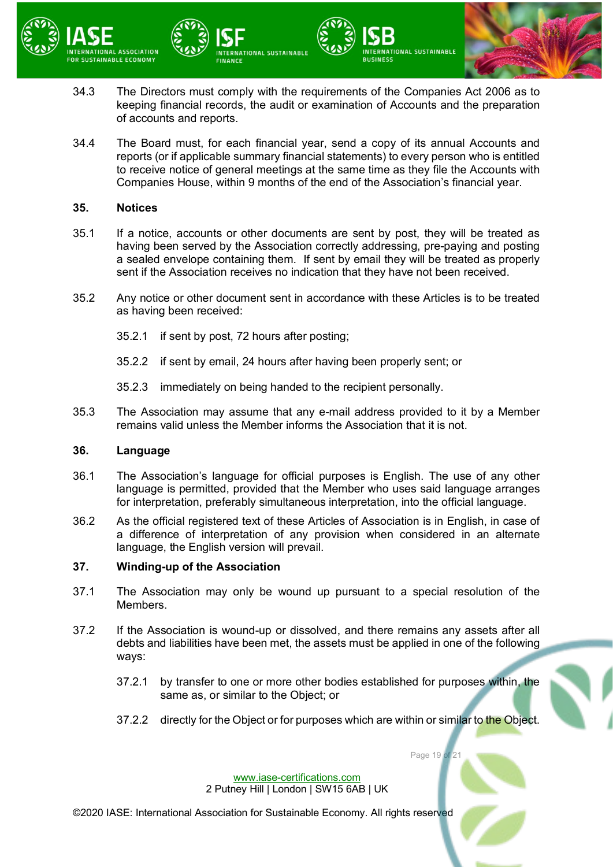



**NTERNATIONAL SUSTAINABLE** 

34.4 The Board must, for each financial year, send a copy of its annual Accounts and reports (or if applicable summary financial statements) to every person who is entitled to receive notice of general meetings at the same time as they file the Accounts with Companies House, within 9 months of the end of the Association's financial year.

NTERNATIONAL SUSTAINABLE

#### **35. Notices**

of accounts and reports.

- 35.1 If a notice, accounts or other documents are sent by post, they will be treated as having been served by the Association correctly addressing, pre-paying and posting a sealed envelope containing them. If sent by email they will be treated as properly sent if the Association receives no indication that they have not been received.
- 35.2 Any notice or other document sent in accordance with these Articles is to be treated as having been received:
	- 35.2.1 if sent by post, 72 hours after posting;
	- 35.2.2 if sent by email, 24 hours after having been properly sent; or
	- 35.2.3 immediately on being handed to the recipient personally.
- 35.3 The Association may assume that any e-mail address provided to it by a Member remains valid unless the Member informs the Association that it is not.

#### **36. Language**

- 36.1 The Association's language for official purposes is English. The use of any other language is permitted, provided that the Member who uses said language arranges for interpretation, preferably simultaneous interpretation, into the official language.
- 36.2 As the official registered text of these Articles of Association is in English, in case of a difference of interpretation of any provision when considered in an alternate language, the English version will prevail.

## **37. Winding-up of the Association**

- 37.1 The Association may only be wound up pursuant to a special resolution of the Members.
- 37.2 If the Association is wound-up or dissolved, and there remains any assets after all debts and liabilities have been met, the assets must be applied in one of the following ways:
	- 37.2.1 by transfer to one or more other bodies established for purposes within, the same as, or similar to the Object; or
	- 37.2.2 directly for the Object or for purposes which are within or similar to the Object.

Page 19 of

[www.iase-certifications.com](http://www.iase-certifications.com/) 2 Putney Hill | London | SW15 6AB | UK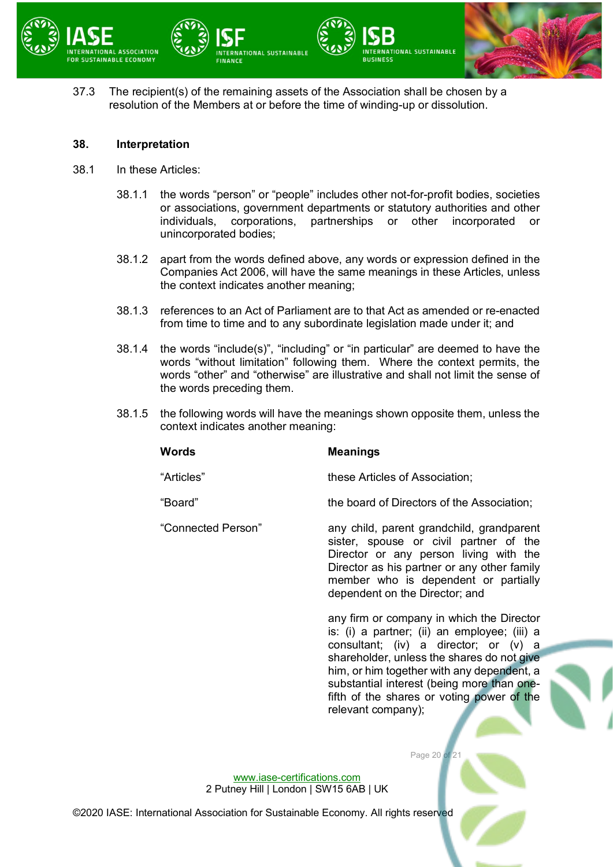

37.3 The recipient(s) of the remaining assets of the Association shall be chosen by a resolution of the Members at or before the time of winding-up or dissolution.

#### **38. Interpretation**

- 38.1 In these Articles:
	- 38.1.1 the words "person" or "people" includes other not-for-profit bodies, societies or associations, government departments or statutory authorities and other individuals, corporations, partnerships or other incorporated or unincorporated bodies;
	- 38.1.2 apart from the words defined above, any words or expression defined in the Companies Act 2006, will have the same meanings in these Articles, unless the context indicates another meaning;
	- 38.1.3 references to an Act of Parliament are to that Act as amended or re-enacted from time to time and to any subordinate legislation made under it; and
	- 38.1.4 the words "include(s)", "including" or "in particular" are deemed to have the words "without limitation" following them. Where the context permits, the words "other" and "otherwise" are illustrative and shall not limit the sense of the words preceding them.
	- 38.1.5 the following words will have the meanings shown opposite them, unless the context indicates another meaning:

# **Words Meanings**

"Articles" these Articles of Association;

"Board" the board of Directors of the Association;

"Connected Person" any child, parent grandchild, grandparent sister, spouse or civil partner of the Director or any person living with the Director as his partner or any other family member who is dependent or partially dependent on the Director; and

> any firm or company in which the Director is: (i) a partner; (ii) an employee; (iii) a consultant; (iv) a director; or (v) a shareholder, unless the shares do not give him, or him together with any dependent, a substantial interest (being more than onefifth of the shares or voting power of the relevant company);

> > Page 20 of

[www.iase-certifications.com](http://www.iase-certifications.com/) 2 Putney Hill | London | SW15 6AB | UK